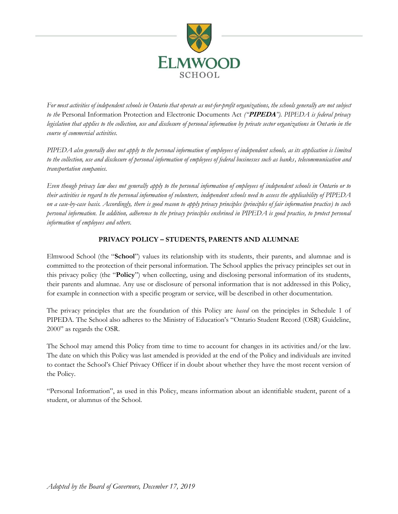

*For most activities of independent schools in Ontario that operate as not-for-profit organizations, the schools generally are not subject to the* Personal Information Protection and Electronic Documents Act *("***PIPEDA***"). PIPEDA is federal privacy legislation that applies to the collection, use and disclosure of personal information by private sector organizations in Ontario in the course of commercial activities.* 

*PIPEDA also generally does not apply to the personal information of employees of independent schools, as its application is limited to the collection, use and disclosure of personal information of employees of federal businesses such as banks, telecommunication and transportation companies.*

*Even though privacy law does not generally apply to the personal information of employees of independent schools in Ontario or to their activities in regard to the personal information of volunteers, independent schools need to assess the applicability of PIPEDA on a case-by-case basis. Accordingly, there is good reason to apply privacy principles (principles of fair information practice) to such personal information. In addition, adherence to the privacy principles enshrined in PIPEDA is good practice, to protect personal information of employees and others.*

# **PRIVACY POLICY – STUDENTS, PARENTS AND ALUMNAE**

Elmwood School (the "**School**") values its relationship with its students, their parents, and alumnae and is committed to the protection of their personal information. The School applies the privacy principles set out in this privacy policy (the "**Policy**") when collecting, using and disclosing personal information of its students, their parents and alumnae. Any use or disclosure of personal information that is not addressed in this Policy, for example in connection with a specific program or service, will be described in other documentation.

The privacy principles that are the foundation of this Policy are *based* on the principles in Schedule 1 of PIPEDA. The School also adheres to the Ministry of Education's "Ontario Student Record (OSR) Guideline, 2000" as regards the OSR.

The School may amend this Policy from time to time to account for changes in its activities and/or the law. The date on which this Policy was last amended is provided at the end of the Policy and individuals are invited to contact the School's Chief Privacy Officer if in doubt about whether they have the most recent version of the Policy.

"Personal Information", as used in this Policy, means information about an identifiable student, parent of a student, or alumnus of the School.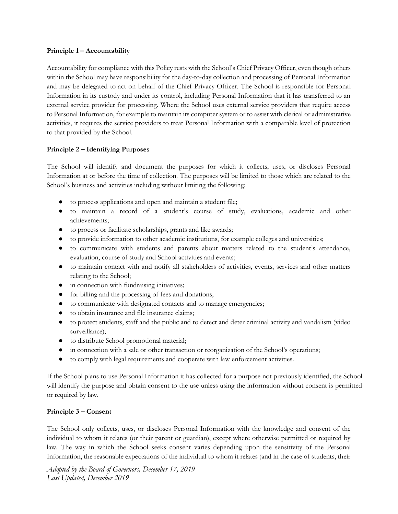### **Principle 1 – Accountability**

Accountability for compliance with this Policy rests with the School's Chief Privacy Officer, even though others within the School may have responsibility for the day-to-day collection and processing of Personal Information and may be delegated to act on behalf of the Chief Privacy Officer. The School is responsible for Personal Information in its custody and under its control, including Personal Information that it has transferred to an external service provider for processing. Where the School uses external service providers that require access to Personal Information, for example to maintain its computer system or to assist with clerical or administrative activities, it requires the service providers to treat Personal Information with a comparable level of protection to that provided by the School.

### **Principle 2 – Identifying Purposes**

The School will identify and document the purposes for which it collects, uses, or discloses Personal Information at or before the time of collection. The purposes will be limited to those which are related to the School's business and activities including without limiting the following;

- to process applications and open and maintain a student file;
- to maintain a record of a student's course of study, evaluations, academic and other achievements;
- to process or facilitate scholarships, grants and like awards;
- to provide information to other academic institutions, for example colleges and universities;
- to communicate with students and parents about matters related to the student's attendance, evaluation, course of study and School activities and events;
- to maintain contact with and notify all stakeholders of activities, events, services and other matters relating to the School;
- in connection with fundraising initiatives;
- for billing and the processing of fees and donations;
- to communicate with designated contacts and to manage emergencies;
- to obtain insurance and file insurance claims;
- to protect students, staff and the public and to detect and deter criminal activity and vandalism (video surveillance);
- to distribute School promotional material;
- in connection with a sale or other transaction or reorganization of the School's operations;
- to comply with legal requirements and cooperate with law enforcement activities.

If the School plans to use Personal Information it has collected for a purpose not previously identified, the School will identify the purpose and obtain consent to the use unless using the information without consent is permitted or required by law.

### **Principle 3 – Consent**

The School only collects, uses, or discloses Personal Information with the knowledge and consent of the individual to whom it relates (or their parent or guardian), except where otherwise permitted or required by law. The way in which the School seeks consent varies depending upon the sensitivity of the Personal Information, the reasonable expectations of the individual to whom it relates (and in the case of students, their

*Adopted by the Board of Governors, December 17, 2019 Last Updated, December 2019*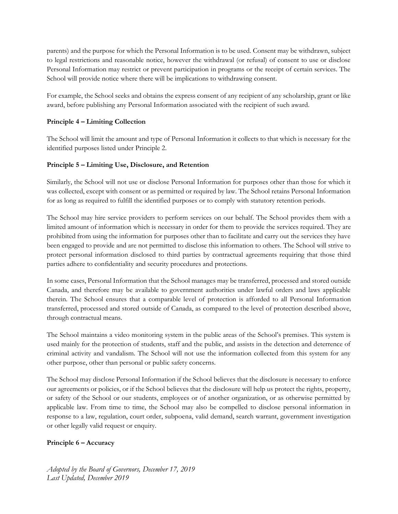parents) and the purpose for which the Personal Information is to be used. Consent may be withdrawn, subject to legal restrictions and reasonable notice, however the withdrawal (or refusal) of consent to use or disclose Personal Information may restrict or prevent participation in programs or the receipt of certain services. The School will provide notice where there will be implications to withdrawing consent.

For example, the School seeks and obtains the express consent of any recipient of any scholarship, grant or like award, before publishing any Personal Information associated with the recipient of such award.

# **Principle 4 – Limiting Collection**

The School will limit the amount and type of Personal Information it collects to that which is necessary for the identified purposes listed under Principle 2.

### **Principle 5 – Limiting Use, Disclosure, and Retention**

Similarly, the School will not use or disclose Personal Information for purposes other than those for which it was collected, except with consent or as permitted or required by law. The School retains Personal Information for as long as required to fulfill the identified purposes or to comply with statutory retention periods.

The School may hire service providers to perform services on our behalf. The School provides them with a limited amount of information which is necessary in order for them to provide the services required. They are prohibited from using the information for purposes other than to facilitate and carry out the services they have been engaged to provide and are not permitted to disclose this information to others. The School will strive to protect personal information disclosed to third parties by contractual agreements requiring that those third parties adhere to confidentiality and security procedures and protections.

In some cases, Personal Information that the School manages may be transferred, processed and stored outside Canada, and therefore may be available to government authorities under lawful orders and laws applicable therein. The School ensures that a comparable level of protection is afforded to all Personal Information transferred, processed and stored outside of Canada, as compared to the level of protection described above, through contractual means.

The School maintains a video monitoring system in the public areas of the School's premises. This system is used mainly for the protection of students, staff and the public, and assists in the detection and deterrence of criminal activity and vandalism. The School will not use the information collected from this system for any other purpose, other than personal or public safety concerns.

The School may disclose Personal Information if the School believes that the disclosure is necessary to enforce our agreements or policies, or if the School believes that the disclosure will help us protect the rights, property, or safety of the School or our students, employees or of another organization, or as otherwise permitted by applicable law. From time to time, the School may also be compelled to disclose personal information in response to a law, regulation, court order, subpoena, valid demand, search warrant, government investigation or other legally valid request or enquiry.

# **Principle 6 – Accuracy**

*Adopted by the Board of Governors, December 17, 2019 Last Updated, December 2019*